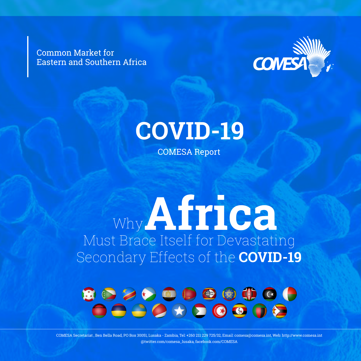Common Market for Eastern and Southern Africa





COMESA Report

# Why **Africa** Must Brace Itself for Devastating Secondary Effects of the **COVID-19**



COMESA Secretariat , Ben Bella Road, PO Box 30051, Lusaka - Zambia, Tel: +260 211 229 725/32, Email: comesa@comesa.int, Web: http://www.comesa.int @twitter.com/comesa\_lusaka, facebook.com/COMESA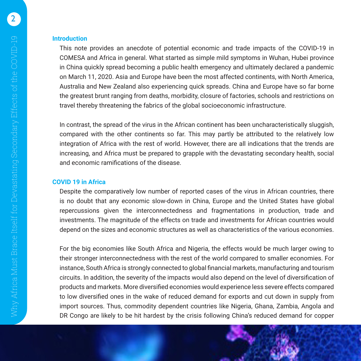**Introduction**

This note provides an anecdote of potential economic and trade impacts of the COVID-19 in COMESA and Africa in general. What started as simple mild symptoms in Wuhan, Hubei province in China quickly spread becoming a public health emergency and ultimately declared a pandemic on March 11, 2020. Asia and Europe have been the most affected continents, with North America, Australia and New Zealand also experiencing quick spreads. China and Europe have so far borne the greatest brunt ranging from deaths, morbidity, closure of factories, schools and restrictions on travel thereby threatening the fabrics of the global socioeconomic infrastructure.

In contrast, the spread of the virus in the African continent has been uncharacteristically sluggish, compared with the other continents so far. This may partly be attributed to the relatively low integration of Africa with the rest of world. However, there are all indications that the trends are increasing, and Africa must be prepared to grapple with the devastating secondary health, social and economic ramifications of the disease.

# **COVID 19 in Africa**

Despite the comparatively low number of reported cases of the virus in African countries, there is no doubt that any economic slow-down in China, Europe and the United States have global repercussions given the interconnectedness and fragmentations in production, trade and investments. The magnitude of the effects on trade and investments for African countries would depend on the sizes and economic structures as well as characteristics of the various economies.

For the big economies like South Africa and Nigeria, the effects would be much larger owing to their stronger interconnectedness with the rest of the world compared to smaller economies. For instance, South Africa is strongly connected to global financial markets, manufacturing and tourism circuits. In addition, the severity of the impacts would also depend on the level of diversification of products and markets. More diversified economies would experience less severe effects compared to low diversified ones in the wake of reduced demand for exports and cut down in supply from import sources. Thus, commodity dependent countries like Nigeria, Ghana, Zambia, Angola and DR Congo are likely to be hit hardest by the crisis following China's reduced demand for copper

2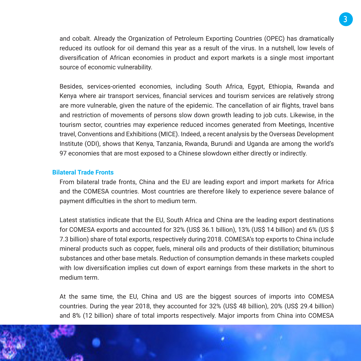and cobalt. Already the Organization of Petroleum Exporting Countries (OPEC) has dramatically reduced its outlook for oil demand this year as a result of the virus. In a nutshell, low levels of diversification of African economies in product and export markets is a single most important source of economic vulnerability.

Besides, services-oriented economies, including South Africa, Egypt, Ethiopia, Rwanda and Kenya where air transport services, financial services and tourism services are relatively strong are more vulnerable, given the nature of the epidemic. The cancellation of air flights, travel bans and restriction of movements of persons slow down growth leading to job cuts. Likewise, in the tourism sector, countries may experience reduced incomes generated from Meetings, Incentive travel, Conventions and Exhibitions (MICE). Indeed, a recent analysis by the Overseas Development Institute (ODI), shows that Kenya, Tanzania, Rwanda, Burundi and Uganda are among the world's 97 economies that are most exposed to a Chinese slowdown either directly or indirectly.

## **Bilateral Trade Fronts**

From bilateral trade fronts, China and the EU are leading export and import markets for Africa and the COMESA countries. Most countries are therefore likely to experience severe balance of payment difficulties in the short to medium term.

Latest statistics indicate that the EU, South Africa and China are the leading export destinations for COMESA exports and accounted for 32% (US\$ 36.1 billion), 13% (US\$ 14 billion) and 6% (US \$ 7.3 billion) share of total exports, respectively during 2018. COMESA's top exports to China include mineral products such as copper, fuels, mineral oils and products of their distillation; bituminous substances and other base metals. Reduction of consumption demands in these markets coupled with low diversification implies cut down of export earnings from these markets in the short to medium term.

At the same time, the EU, China and US are the biggest sources of imports into COMESA countries. During the year 2018, they accounted for 32% (US\$ 48 billion), 20% (US\$ 29.4 billion) and 8% (12 billion) share of total imports respectively. Major imports from China into COMESA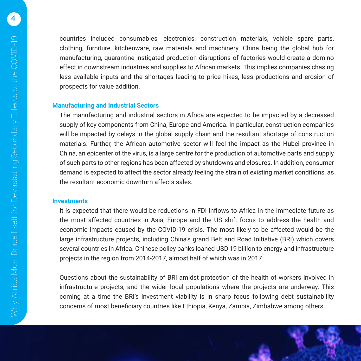4

countries included consumables, electronics, construction materials, vehicle spare parts, clothing, furniture, kitchenware, raw materials and machinery. China being the global hub for manufacturing, quarantine-instigated production disruptions of factories would create a domino effect in downstream industries and supplies to African markets. This implies companies chasing less available inputs and the shortages leading to price hikes, less productions and erosion of prospects for value addition.

## **Manufacturing and Industrial Sectors**

The manufacturing and industrial sectors in Africa are expected to be impacted by a decreased supply of key components from China, Europe and America. In particular, construction companies will be impacted by delays in the global supply chain and the resultant shortage of construction materials. Further, the African automotive sector will feel the impact as the Hubei province in China, an epicenter of the virus, is a large centre for the production of automotive parts and supply of such parts to other regions has been affected by shutdowns and closures. In addition, consumer demand is expected to affect the sector already feeling the strain of existing market conditions, as the resultant economic downturn affects sales.

### **Investments**

It is expected that there would be reductions in FDI inflows to Africa in the immediate future as the most affected countries in Asia, Europe and the US shift focus to address the health and economic impacts caused by the COVID-19 crisis. The most likely to be affected would be the large infrastructure projects, including China's grand Belt and Road Initiative (BRI) which covers several countries in Africa. Chinese policy banks loaned USD 19 billion to energy and infrastructure projects in the region from 2014-2017, almost half of which was in 2017.

Questions about the sustainability of BRI amidst protection of the health of workers involved in infrastructure projects, and the wider local populations where the projects are underway. This coming at a time the BRI's investment viability is in sharp focus following debt sustainability concerns of most beneficiary countries like Ethiopia, Kenya, Zambia, Zimbabwe among others.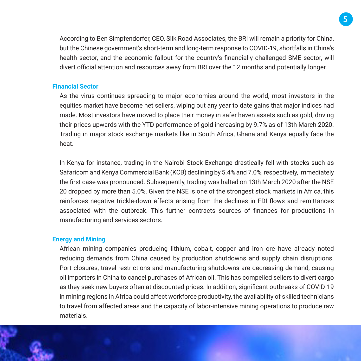According to Ben Simpfendorfer, CEO, Silk Road Associates, the BRI will remain a priority for China, but the Chinese government's short-term and long-term response to COVID-19, shortfalls in China's health sector, and the economic fallout for the country's financially challenged SME sector, will divert official attention and resources away from BRI over the 12 months and potentially longer.

# **Financial Sector**

As the virus continues spreading to major economies around the world, most investors in the equities market have become net sellers, wiping out any year to date gains that major indices had made. Most investors have moved to place their money in safer haven assets such as gold, driving their prices upwards with the YTD performance of gold increasing by 9.7% as of 13th March 2020. Trading in major stock exchange markets like in South Africa, Ghana and Kenya equally face the heat.

In Kenya for instance, trading in the Nairobi Stock Exchange drastically fell with stocks such as Safaricom and Kenya Commercial Bank (KCB) declining by 5.4% and 7.0%, respectively, immediately the first case was pronounced. Subsequently, trading was halted on 13th March 2020 after the NSE 20 dropped by more than 5.0%. Given the NSE is one of the strongest stock markets in Africa, this reinforces negative trickle-down effects arising from the declines in FDI flows and remittances associated with the outbreak. This further contracts sources of finances for productions in manufacturing and services sectors.

# **Energy and Mining**

African mining companies producing lithium, cobalt, copper and iron ore have already noted reducing demands from China caused by production shutdowns and supply chain disruptions. Port closures, travel restrictions and manufacturing shutdowns are decreasing demand, causing oil importers in China to cancel purchases of African oil. This has compelled sellers to divert cargo as they seek new buyers often at discounted prices. In addition, significant outbreaks of COVID-19 in mining regions in Africa could affect workforce productivity, the availability of skilled technicians to travel from affected areas and the capacity of labor-intensive mining operations to produce raw materials.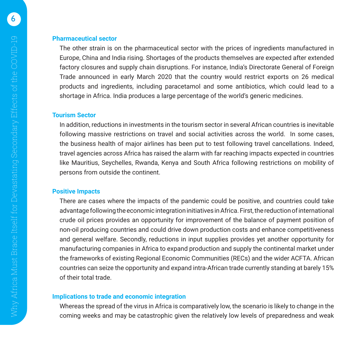#### **Pharmaceutical sector**

The other strain is on the pharmaceutical sector with the prices of ingredients manufactured in Europe, China and India rising. Shortages of the products themselves are expected after extended factory closures and supply chain disruptions. For instance, India's Directorate General of Foreign Trade announced in early March 2020 that the country would restrict exports on 26 medical products and ingredients, including paracetamol and some antibiotics, which could lead to a shortage in Africa. India produces a large percentage of the world's generic medicines.

#### **Tourism Sector**

In addition, reductions in investments in the tourism sector in several African countries is inevitable following massive restrictions on travel and social activities across the world. In some cases, the business health of major airlines has been put to test following travel cancellations. Indeed, travel agencies across Africa has raised the alarm with far reaching impacts expected in countries like Mauritius, Seychelles, Rwanda, Kenya and South Africa following restrictions on mobility of persons from outside the continent.

#### **Positive Impacts**

There are cases where the impacts of the pandemic could be positive, and countries could take advantage following the economic integration initiatives in Africa. First, the reduction of international crude oil prices provides an opportunity for improvement of the balance of payment position of non-oil producing countries and could drive down production costs and enhance competitiveness and general welfare. Secondly, reductions in input supplies provides yet another opportunity for manufacturing companies in Africa to expand production and supply the continental market under the frameworks of existing Regional Economic Communities (RECs) and the wider ACFTA. African countries can seize the opportunity and expand intra-African trade currently standing at barely 15% of their total trade.

## **Implications to trade and economic integration**

Whereas the spread of the virus in Africa is comparatively low, the scenario is likely to change in the coming weeks and may be catastrophic given the relatively low levels of preparedness and weak

6